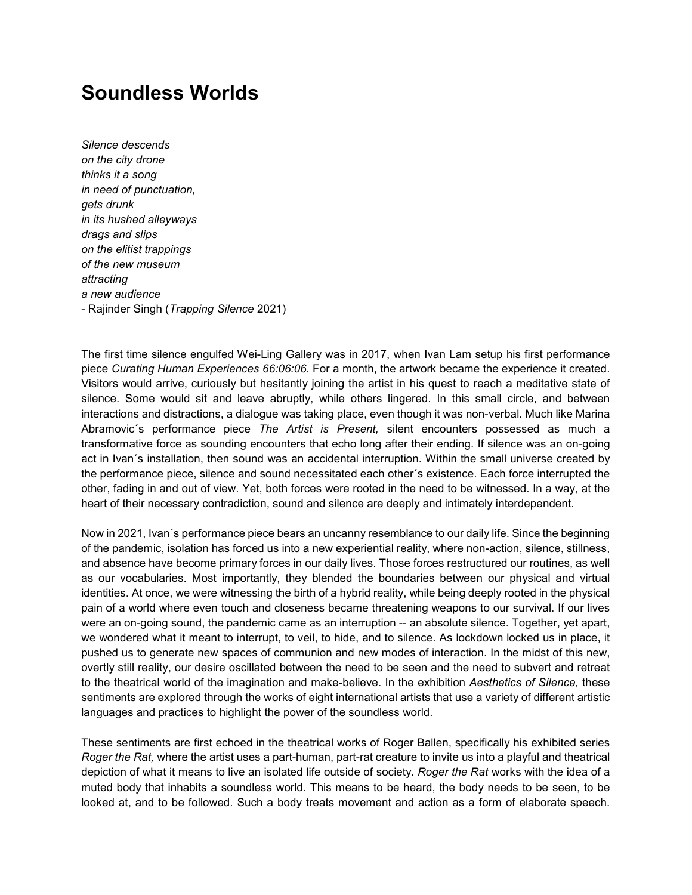## **Soundless Worlds**

*Silence descends on the city drone thinks it a song in need of punctuation, gets drunk in its hushed alleyways drags and slips on the elitist trappings of the new museum attracting a new audience*  - Rajinder Singh (*Trapping Silence* 2021)

The first time silence engulfed Wei-Ling Gallery was in 2017, when Ivan Lam setup his first performance piece *Curating Human Experiences 66:06:06.* For a month, the artwork became the experience it created. Visitors would arrive, curiously but hesitantly joining the artist in his quest to reach a meditative state of silence. Some would sit and leave abruptly, while others lingered. In this small circle, and between interactions and distractions, a dialogue was taking place, even though it was non-verbal. Much like Marina Abramovic´s performance piece *The Artist is Present,* silent encounters possessed as much a transformative force as sounding encounters that echo long after their ending. If silence was an on-going act in Ivan´s installation, then sound was an accidental interruption. Within the small universe created by the performance piece, silence and sound necessitated each other´s existence. Each force interrupted the other, fading in and out of view. Yet, both forces were rooted in the need to be witnessed. In a way, at the heart of their necessary contradiction, sound and silence are deeply and intimately interdependent.

Now in 2021, Ivan´s performance piece bears an uncanny resemblance to our daily life. Since the beginning of the pandemic, isolation has forced us into a new experiential reality, where non-action, silence, stillness, and absence have become primary forces in our daily lives. Those forces restructured our routines, as well as our vocabularies. Most importantly, they blended the boundaries between our physical and virtual identities. At once, we were witnessing the birth of a hybrid reality, while being deeply rooted in the physical pain of a world where even touch and closeness became threatening weapons to our survival. If our lives were an on-going sound, the pandemic came as an interruption -- an absolute silence. Together, yet apart, we wondered what it meant to interrupt, to veil, to hide, and to silence. As lockdown locked us in place, it pushed us to generate new spaces of communion and new modes of interaction. In the midst of this new, overtly still reality, our desire oscillated between the need to be seen and the need to subvert and retreat to the theatrical world of the imagination and make-believe. In the exhibition *Aesthetics of Silence,* these sentiments are explored through the works of eight international artists that use a variety of different artistic languages and practices to highlight the power of the soundless world.

These sentiments are first echoed in the theatrical works of Roger Ballen, specifically his exhibited series *Roger the Rat,* where the artist uses a part-human, part-rat creature to invite us into a playful and theatrical depiction of what it means to live an isolated life outside of society. *Roger the Rat* works with the idea of a muted body that inhabits a soundless world. This means to be heard, the body needs to be seen, to be looked at, and to be followed. Such a body treats movement and action as a form of elaborate speech.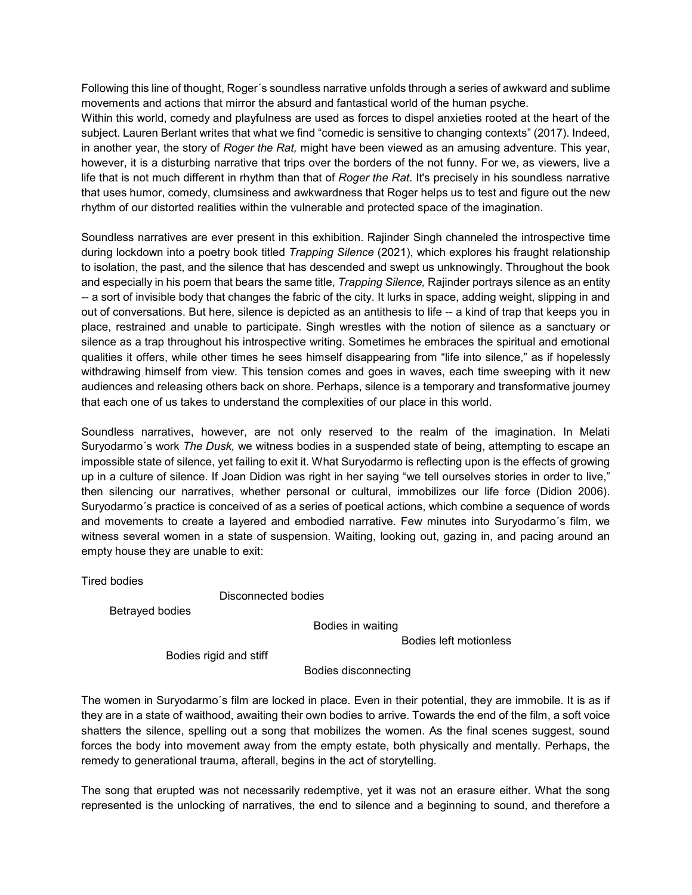Following this line of thought, Roger´s soundless narrative unfolds through a series of awkward and sublime movements and actions that mirror the absurd and fantastical world of the human psyche.

Within this world, comedy and playfulness are used as forces to dispel anxieties rooted at the heart of the subject. Lauren Berlant writes that what we find "comedic is sensitive to changing contexts" (2017). Indeed, in another year, the story of *Roger the Rat,* might have been viewed as an amusing adventure. This year, however, it is a disturbing narrative that trips over the borders of the not funny. For we, as viewers, live a life that is not much different in rhythm than that of *Roger the Rat*. It's precisely in his soundless narrative that uses humor, comedy, clumsiness and awkwardness that Roger helps us to test and figure out the new rhythm of our distorted realities within the vulnerable and protected space of the imagination.

Soundless narratives are ever present in this exhibition. Rajinder Singh channeled the introspective time during lockdown into a poetry book titled *Trapping Silence* (2021), which explores his fraught relationship to isolation, the past, and the silence that has descended and swept us unknowingly. Throughout the book and especially in his poem that bears the same title, *Trapping Silence,* Rajinder portrays silence as an entity -- a sort of invisible body that changes the fabric of the city. It lurks in space, adding weight, slipping in and out of conversations. But here, silence is depicted as an antithesis to life -- a kind of trap that keeps you in place, restrained and unable to participate. Singh wrestles with the notion of silence as a sanctuary or silence as a trap throughout his introspective writing. Sometimes he embraces the spiritual and emotional qualities it offers, while other times he sees himself disappearing from "life into silence," as if hopelessly withdrawing himself from view. This tension comes and goes in waves, each time sweeping with it new audiences and releasing others back on shore. Perhaps, silence is a temporary and transformative journey that each one of us takes to understand the complexities of our place in this world.

Soundless narratives, however, are not only reserved to the realm of the imagination. In Melati Suryodarmo´s work *The Dusk,* we witness bodies in a suspended state of being, attempting to escape an impossible state of silence, yet failing to exit it. What Suryodarmo is reflecting upon is the effects of growing up in a culture of silence. If Joan Didion was right in her saying "we tell ourselves stories in order to live," then silencing our narratives, whether personal or cultural, immobilizes our life force (Didion 2006). Suryodarmo´s practice is conceived of as a series of poetical actions, which combine a sequence of words and movements to create a layered and embodied narrative. Few minutes into Suryodarmo´s film, we witness several women in a state of suspension. Waiting, looking out, gazing in, and pacing around an empty house they are unable to exit:

Tired bodies

Disconnected bodies

Betrayed bodies

Bodies in waiting

Bodies left motionless

Bodies rigid and stiff

Bodies disconnecting

The women in Suryodarmo´s film are locked in place. Even in their potential, they are immobile. It is as if they are in a state of waithood, awaiting their own bodies to arrive. Towards the end of the film, a soft voice shatters the silence, spelling out a song that mobilizes the women. As the final scenes suggest, sound forces the body into movement away from the empty estate, both physically and mentally. Perhaps, the remedy to generational trauma, afterall, begins in the act of storytelling.

The song that erupted was not necessarily redemptive, yet it was not an erasure either. What the song represented is the unlocking of narratives, the end to silence and a beginning to sound, and therefore a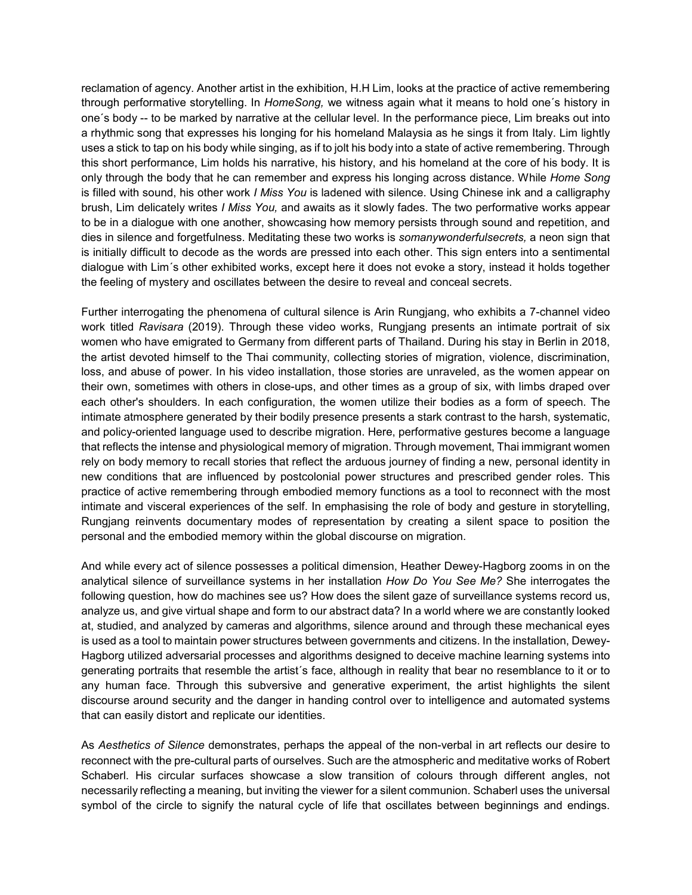reclamation of agency. Another artist in the exhibition, H.H Lim, looks at the practice of active remembering through performative storytelling. In *HomeSong,* we witness again what it means to hold one´s history in one´s body -- to be marked by narrative at the cellular level. In the performance piece, Lim breaks out into a rhythmic song that expresses his longing for his homeland Malaysia as he sings it from Italy. Lim lightly uses a stick to tap on his body while singing, as if to jolt his body into a state of active remembering. Through this short performance, Lim holds his narrative, his history, and his homeland at the core of his body. It is only through the body that he can remember and express his longing across distance. While *Home Song*  is filled with sound, his other work *I Miss You* is ladened with silence. Using Chinese ink and a calligraphy brush, Lim delicately writes *I Miss You,* and awaits as it slowly fades. The two performative works appear to be in a dialogue with one another, showcasing how memory persists through sound and repetition, and dies in silence and forgetfulness. Meditating these two works is *somanywonderfulsecrets,* a neon sign that is initially difficult to decode as the words are pressed into each other. This sign enters into a sentimental dialogue with Lim´s other exhibited works, except here it does not evoke a story, instead it holds together the feeling of mystery and oscillates between the desire to reveal and conceal secrets.

Further interrogating the phenomena of cultural silence is Arin Rungjang, who exhibits a 7-channel video work titled *Ravisara* (2019). Through these video works, Rungjang presents an intimate portrait of six women who have emigrated to Germany from different parts of Thailand. During his stay in Berlin in 2018, the artist devoted himself to the Thai community, collecting stories of migration, violence, discrimination, loss, and abuse of power. In his video installation, those stories are unraveled, as the women appear on their own, sometimes with others in close-ups, and other times as a group of six, with limbs draped over each other's shoulders. In each configuration, the women utilize their bodies as a form of speech. The intimate atmosphere generated by their bodily presence presents a stark contrast to the harsh, systematic, and policy-oriented language used to describe migration. Here, performative gestures become a language that reflects the intense and physiological memory of migration. Through movement, Thai immigrant women rely on body memory to recall stories that reflect the arduous journey of finding a new, personal identity in new conditions that are influenced by postcolonial power structures and prescribed gender roles. This practice of active remembering through embodied memory functions as a tool to reconnect with the most intimate and visceral experiences of the self. In emphasising the role of body and gesture in storytelling, Rungjang reinvents documentary modes of representation by creating a silent space to position the personal and the embodied memory within the global discourse on migration.

And while every act of silence possesses a political dimension, Heather Dewey-Hagborg zooms in on the analytical silence of surveillance systems in her installation *How Do You See Me?* She interrogates the following question, how do machines see us? How does the silent gaze of surveillance systems record us, analyze us, and give virtual shape and form to our abstract data? In a world where we are constantly looked at, studied, and analyzed by cameras and algorithms, silence around and through these mechanical eyes is used as a tool to maintain power structures between governments and citizens. In the installation, Dewey-Hagborg utilized adversarial processes and algorithms designed to deceive machine learning systems into generating portraits that resemble the artist´s face, although in reality that bear no resemblance to it or to any human face. Through this subversive and generative experiment, the artist highlights the silent discourse around security and the danger in handing control over to intelligence and automated systems that can easily distort and replicate our identities.

As *Aesthetics of Silence* demonstrates, perhaps the appeal of the non-verbal in art reflects our desire to reconnect with the pre-cultural parts of ourselves. Such are the atmospheric and meditative works of Robert Schaberl. His circular surfaces showcase a slow transition of colours through different angles, not necessarily reflecting a meaning, but inviting the viewer for a silent communion. Schaberl uses the universal symbol of the circle to signify the natural cycle of life that oscillates between beginnings and endings.